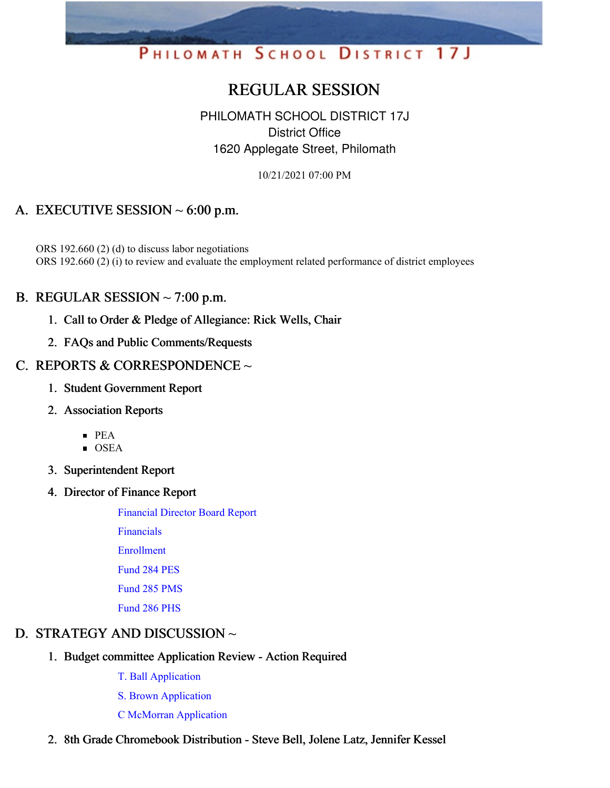# PHILOMATH SCHOOL DISTRICT 17J

# REGULAR SESSION

# PHILOMATH SCHOOL DISTRICT 17J District Office 1620 Applegate Street, Philomath

10/21/2021 07:00 PM

# A. EXECUTIVE SESSION  $\sim$  6:00 p.m.

ORS 192.660 (2) (d) to discuss labor negotiations ORS 192.660 (2) (i) to review and evaluate the employment related performance of district employees

## B. REGULAR SESSION  $\sim$  7:00 p.m.

- 1. Call to Order & Pledge of Allegiance: Rick Wells, Chair
- 2. FAQs and Public Comments/Requests

## C. REPORTS & CORRESPONDENCE ~

- 1. Student Government Report
- 2. Association Reports
	- $\blacksquare$  PEA
	- $\overline{\text{OSEA}}$
- 3. Superintendent Report
- 4. Director of Finance Report

[Financial](https://app.eduportal.com/documents/view/811174) Director Board Report

[Financials](https://app.eduportal.com/documents/view/811176)

[Enrollment](https://app.eduportal.com/documents/view/811173) [Fund](https://app.eduportal.com/documents/view/811179) 284 PES

[Fund](https://app.eduportal.com/documents/view/811177) 285 PMS

[Fund](https://app.eduportal.com/documents/view/811178) 286 PHS

# D. STRATEGY AND DISCUSSION ~

- 1. Budget committee Application Review Action Required
	- T. Ball [Application](https://app.eduportal.com/documents/view/811181)
	- S. Brown [Application](https://app.eduportal.com/documents/view/811180)
	- C McMorran [Application](https://app.eduportal.com/documents/view/811182)
- 2. 8th Grade Chromebook Distribution Steve Bell, Jolene Latz, Jennifer Kessel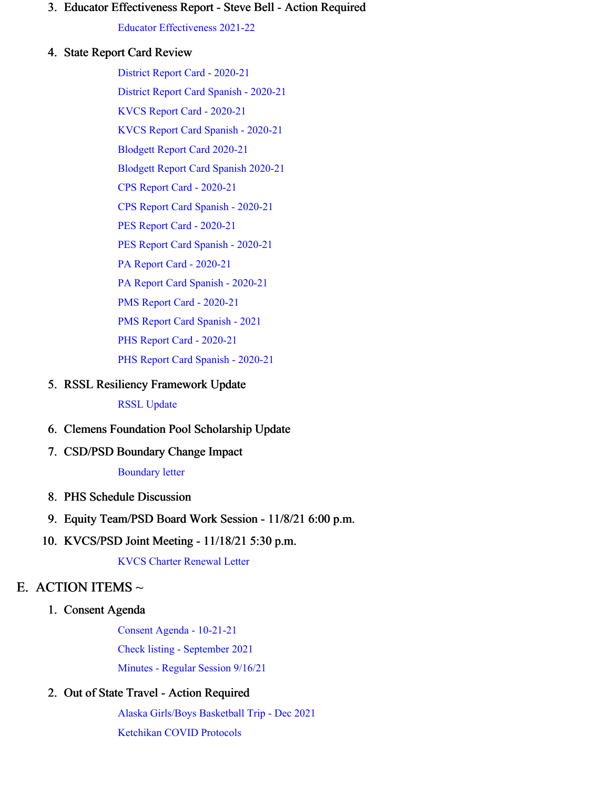#### 3. Educator Effectiveness Report - Steve Bell - Action Required

Educator [Effectiveness](https://app.eduportal.com/documents/view/811332) 2021-22

#### 4. State Report Card Review

District Report Card - [2020-21](https://app.eduportal.com/documents/view/810995) District Report Card Spanish - [2020-21](https://app.eduportal.com/documents/view/810996) KVCS Report Card - [2020-21](https://app.eduportal.com/documents/view/810991) KVCS Report Card Spanish - [2020-21](https://app.eduportal.com/documents/view/810992) [Blodgett](https://app.eduportal.com/documents/view/810979) Report Card 2020-21 [Blodgett](https://app.eduportal.com/documents/view/810980) Report Card Spanish 2020-21 CPS Report Card - [2020-21](https://app.eduportal.com/documents/view/810985) CPS Report Card Spanish - [2020-21](https://app.eduportal.com/documents/view/810986) PES Report Card - [2020-21](https://app.eduportal.com/documents/view/810983) PES Report Card Spanish - [2020-21](https://app.eduportal.com/documents/view/810984) PA Report Card - [2020-21](https://app.eduportal.com/documents/view/810981) PA Report Card Spanish - [2020-21](https://app.eduportal.com/documents/view/810982) PMS Report Card - [2020-21](https://app.eduportal.com/documents/view/810987) PMS Report Card [Spanish](https://app.eduportal.com/documents/view/810988) - 2021 PHS Report Card - [2020-21](https://app.eduportal.com/documents/view/810989) PHS Report Card Spanish - [2020-21](https://app.eduportal.com/documents/view/810990)

5. RSSL Resiliency Framework Update

#### RSSL [Update](https://app.eduportal.com/documents/view/811349)

- 6. Clemens Foundation Pool Scholarship Update
- 7. CSD/PSD Boundary Change Impact

#### [Boundary](https://app.eduportal.com/documents/view/811197) letter

- 8. PHS Schedule Discussion
- 9. Equity Team/PSD Board Work Session 11/8/21 6:00 p.m.
- 10. KVCS/PSD Joint Meeting 11/18/21 5:30 p.m.

KVCS Charter [Renewal](https://app.eduportal.com/documents/view/811196) Letter

## E. ACTION ITEMS  $\sim$

1. Consent Agenda

Consent Agenda - [10-21-21](https://app.eduportal.com/documents/view/811187)

Check listing - [September](https://app.eduportal.com/documents/view/811175) 2021

[Minutes](https://app.eduportal.com/documents/view/811185) - Regular Session 9/16/21

#### 2. Out of State Travel - Action Required

Alaska [Girls/Boys](https://app.eduportal.com/documents/view/811013) Basketball Trip - Dec 2021 [Ketchikan](https://app.eduportal.com/documents/view/811331) COVID Protocols